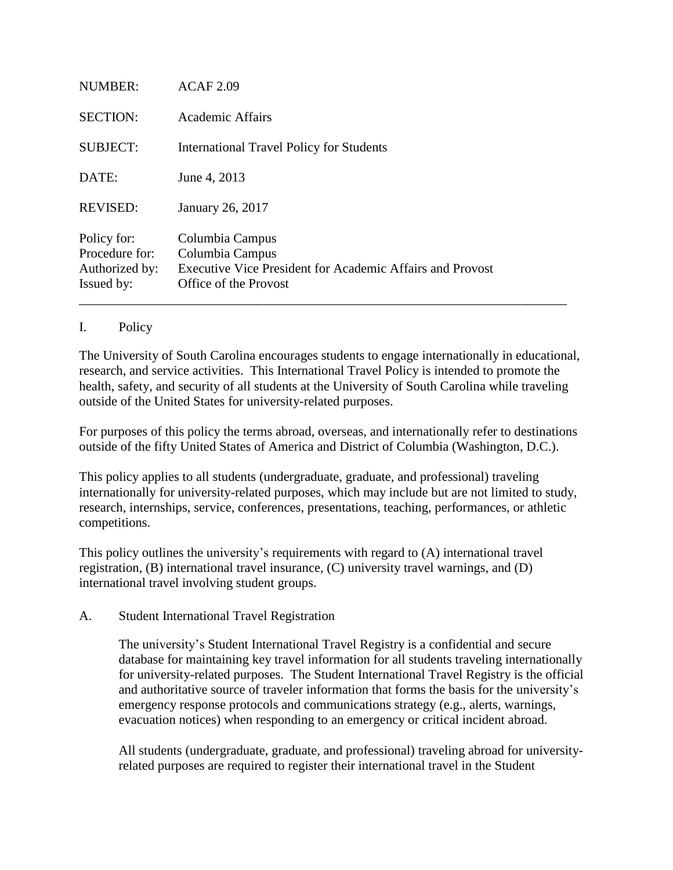| <b>NUMBER:</b>                                                | ACAF 2.09                                                                                                                |
|---------------------------------------------------------------|--------------------------------------------------------------------------------------------------------------------------|
| <b>SECTION:</b>                                               | <b>Academic Affairs</b>                                                                                                  |
| <b>SUBJECT:</b>                                               | <b>International Travel Policy for Students</b>                                                                          |
| DATE:                                                         | June 4, 2013                                                                                                             |
| <b>REVISED:</b>                                               | January 26, 2017                                                                                                         |
| Policy for:<br>Procedure for:<br>Authorized by:<br>Issued by: | Columbia Campus<br>Columbia Campus<br>Executive Vice President for Academic Affairs and Provost<br>Office of the Provost |

## I. Policy

The University of South Carolina encourages students to engage internationally in educational, research, and service activities. This International Travel Policy is intended to promote the health, safety, and security of all students at the University of South Carolina while traveling outside of the United States for university-related purposes.

For purposes of this policy the terms abroad, overseas, and internationally refer to destinations outside of the fifty United States of America and District of Columbia (Washington, D.C.).

This policy applies to all students (undergraduate, graduate, and professional) traveling internationally for university-related purposes, which may include but are not limited to study, research, internships, service, conferences, presentations, teaching, performances, or athletic competitions.

This policy outlines the university's requirements with regard to (A) international travel registration, (B) international travel insurance, (C) university travel warnings, and (D) international travel involving student groups.

# A. Student International Travel Registration

The university's Student International Travel Registry is a confidential and secure database for maintaining key travel information for all students traveling internationally for university-related purposes. The Student International Travel Registry is the official and authoritative source of traveler information that forms the basis for the university's emergency response protocols and communications strategy (e.g., alerts, warnings, evacuation notices) when responding to an emergency or critical incident abroad.

All students (undergraduate, graduate, and professional) traveling abroad for universityrelated purposes are required to register their international travel in the Student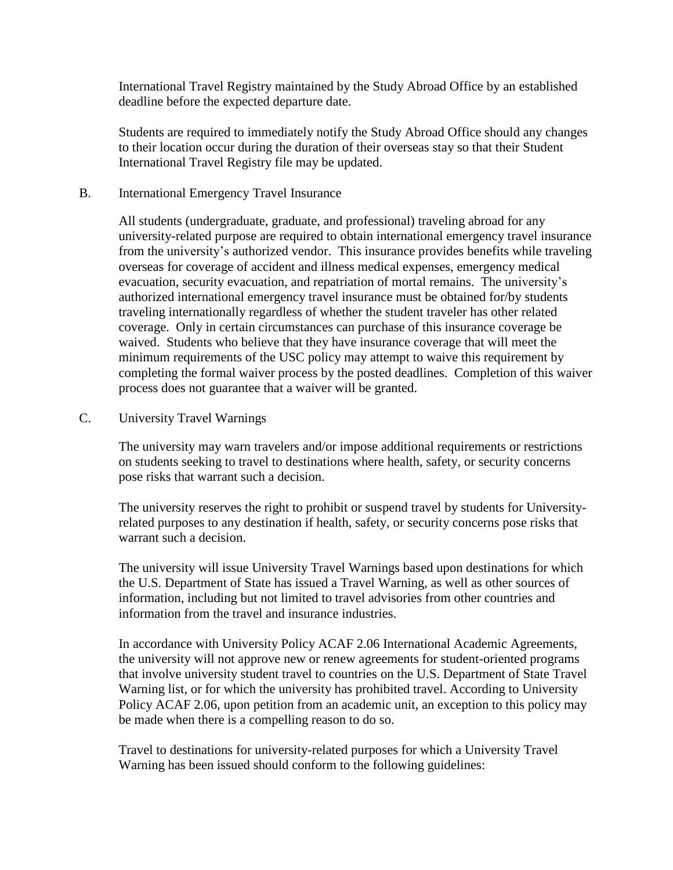International Travel Registry maintained by the Study Abroad Office by an established deadline before the expected departure date.

Students are required to immediately notify the Study Abroad Office should any changes to their location occur during the duration of their overseas stay so that their Student International Travel Registry file may be updated.

#### B. International Emergency Travel Insurance

All students (undergraduate, graduate, and professional) traveling abroad for any university-related purpose are required to obtain international emergency travel insurance from the university's authorized vendor. This insurance provides benefits while traveling overseas for coverage of accident and illness medical expenses, emergency medical evacuation, security evacuation, and repatriation of mortal remains. The university's authorized international emergency travel insurance must be obtained for/by students traveling internationally regardless of whether the student traveler has other related coverage. Only in certain circumstances can purchase of this insurance coverage be waived. Students who believe that they have insurance coverage that will meet the minimum requirements of the USC policy may attempt to waive this requirement by completing the formal waiver process by the posted deadlines. Completion of this waiver process does not guarantee that a waiver will be granted.

## C. University Travel Warnings

The university may warn travelers and/or impose additional requirements or restrictions on students seeking to travel to destinations where health, safety, or security concerns pose risks that warrant such a decision.

The university reserves the right to prohibit or suspend travel by students for Universityrelated purposes to any destination if health, safety, or security concerns pose risks that warrant such a decision.

The university will issue University Travel Warnings based upon destinations for which the U.S. Department of State has issued a Travel Warning, as well as other sources of information, including but not limited to travel advisories from other countries and information from the travel and insurance industries.

In accordance with University Policy ACAF 2.06 International Academic Agreements, the university will not approve new or renew agreements for student-oriented programs that involve university student travel to countries on the U.S. Department of State Travel Warning list, or for which the university has prohibited travel. According to University Policy ACAF 2.06, upon petition from an academic unit, an exception to this policy may be made when there is a compelling reason to do so.

Travel to destinations for university-related purposes for which a University Travel Warning has been issued should conform to the following guidelines: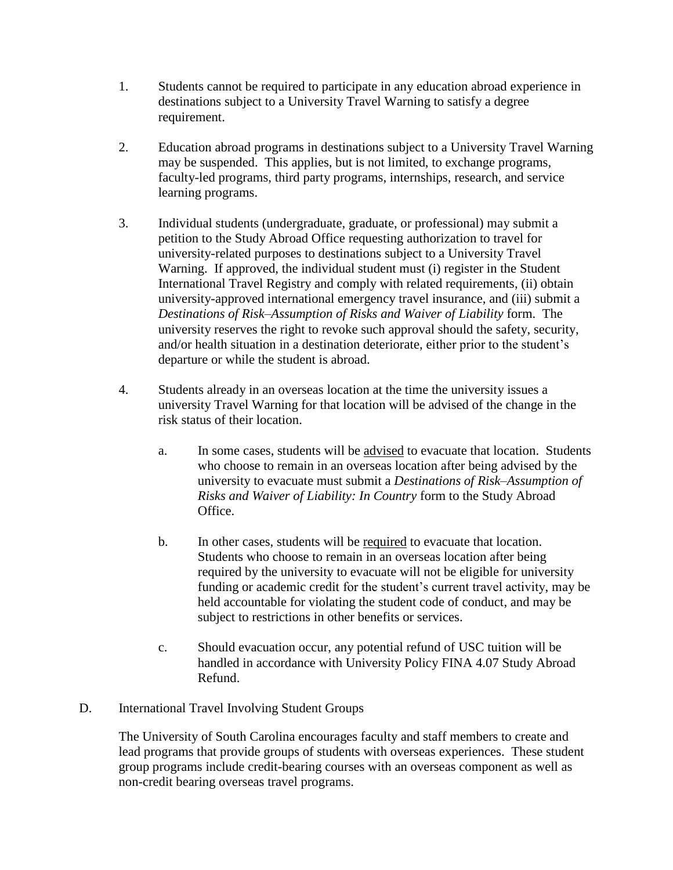- 1. Students cannot be required to participate in any education abroad experience in destinations subject to a University Travel Warning to satisfy a degree requirement.
- 2. Education abroad programs in destinations subject to a University Travel Warning may be suspended. This applies, but is not limited, to exchange programs, faculty-led programs, third party programs, internships, research, and service learning programs.
- 3. Individual students (undergraduate, graduate, or professional) may submit a petition to the Study Abroad Office requesting authorization to travel for university-related purposes to destinations subject to a University Travel Warning. If approved, the individual student must (i) register in the Student International Travel Registry and comply with related requirements, (ii) obtain university-approved international emergency travel insurance, and (iii) submit a *Destinations of Risk–Assumption of Risks and Waiver of Liability* form. The university reserves the right to revoke such approval should the safety, security, and/or health situation in a destination deteriorate, either prior to the student's departure or while the student is abroad.
- 4. Students already in an overseas location at the time the university issues a university Travel Warning for that location will be advised of the change in the risk status of their location.
	- a. In some cases, students will be advised to evacuate that location. Students who choose to remain in an overseas location after being advised by the university to evacuate must submit a *Destinations of Risk–Assumption of Risks and Waiver of Liability: In Country* form to the Study Abroad Office.
	- b. In other cases, students will be required to evacuate that location. Students who choose to remain in an overseas location after being required by the university to evacuate will not be eligible for university funding or academic credit for the student's current travel activity, may be held accountable for violating the student code of conduct, and may be subject to restrictions in other benefits or services.
	- c. Should evacuation occur, any potential refund of USC tuition will be handled in accordance with University Policy FINA 4.07 Study Abroad Refund.
- D. International Travel Involving Student Groups

The University of South Carolina encourages faculty and staff members to create and lead programs that provide groups of students with overseas experiences. These student group programs include credit-bearing courses with an overseas component as well as non-credit bearing overseas travel programs.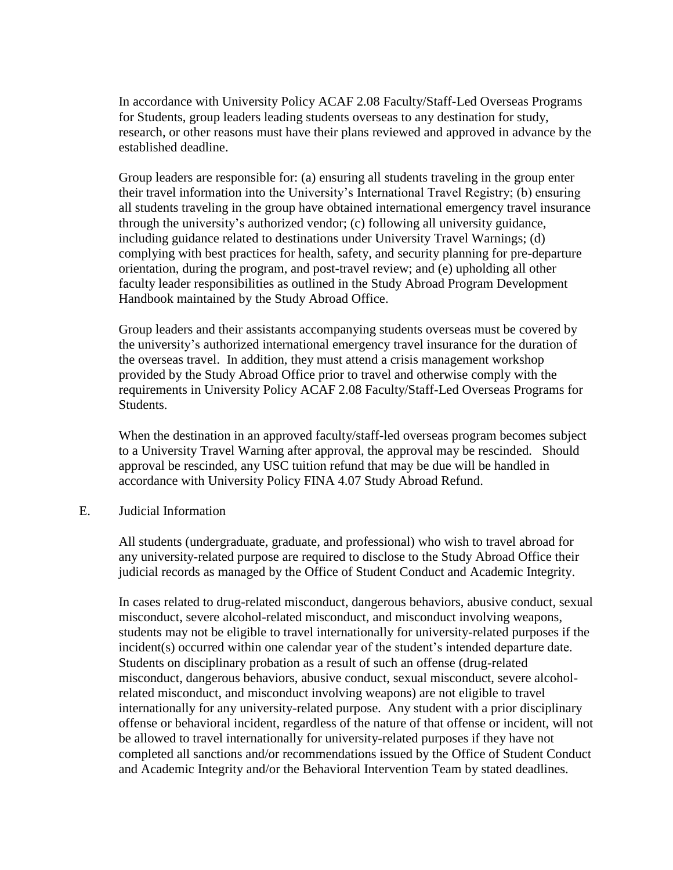In accordance with University Policy ACAF 2.08 Faculty/Staff-Led Overseas Programs for Students, group leaders leading students overseas to any destination for study, research, or other reasons must have their plans reviewed and approved in advance by the established deadline.

Group leaders are responsible for: (a) ensuring all students traveling in the group enter their travel information into the University's International Travel Registry; (b) ensuring all students traveling in the group have obtained international emergency travel insurance through the university's authorized vendor; (c) following all university guidance, including guidance related to destinations under University Travel Warnings; (d) complying with best practices for health, safety, and security planning for pre-departure orientation, during the program, and post-travel review; and (e) upholding all other faculty leader responsibilities as outlined in the Study Abroad Program Development Handbook maintained by the Study Abroad Office.

Group leaders and their assistants accompanying students overseas must be covered by the university's authorized international emergency travel insurance for the duration of the overseas travel. In addition, they must attend a crisis management workshop provided by the Study Abroad Office prior to travel and otherwise comply with the requirements in University Policy ACAF 2.08 Faculty/Staff-Led Overseas Programs for Students.

When the destination in an approved faculty/staff-led overseas program becomes subject to a University Travel Warning after approval, the approval may be rescinded. Should approval be rescinded, any USC tuition refund that may be due will be handled in accordance with University Policy FINA 4.07 Study Abroad Refund.

#### E. Judicial Information

All students (undergraduate, graduate, and professional) who wish to travel abroad for any university-related purpose are required to disclose to the Study Abroad Office their judicial records as managed by the Office of Student Conduct and Academic Integrity.

In cases related to drug-related misconduct, dangerous behaviors, abusive conduct, sexual misconduct, severe alcohol-related misconduct, and misconduct involving weapons, students may not be eligible to travel internationally for university-related purposes if the incident(s) occurred within one calendar year of the student's intended departure date. Students on disciplinary probation as a result of such an offense (drug-related misconduct, dangerous behaviors, abusive conduct, sexual misconduct, severe alcoholrelated misconduct, and misconduct involving weapons) are not eligible to travel internationally for any university-related purpose. Any student with a prior disciplinary offense or behavioral incident, regardless of the nature of that offense or incident, will not be allowed to travel internationally for university-related purposes if they have not completed all sanctions and/or recommendations issued by the Office of Student Conduct and Academic Integrity and/or the Behavioral Intervention Team by stated deadlines.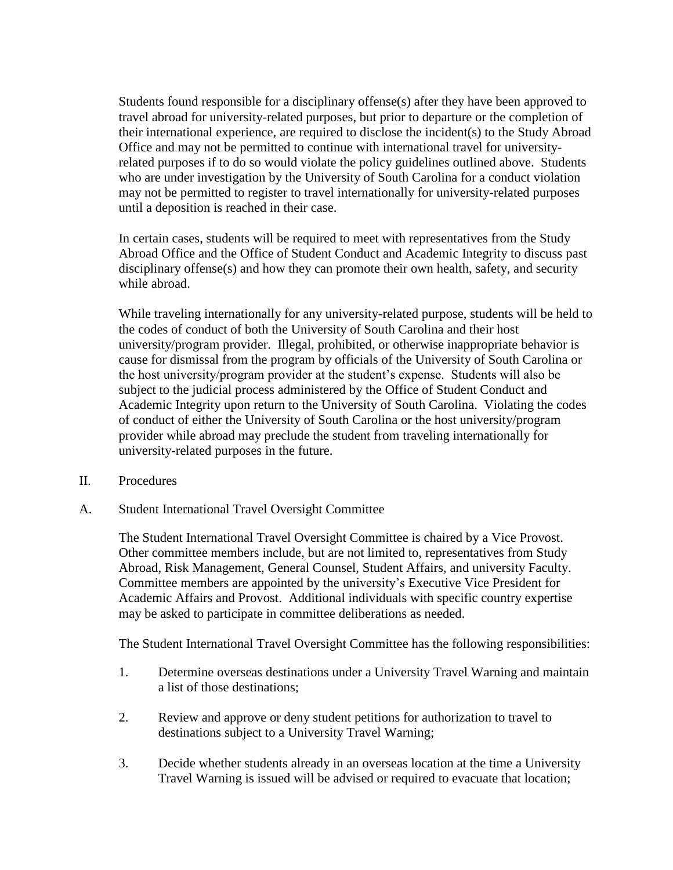Students found responsible for a disciplinary offense(s) after they have been approved to travel abroad for university-related purposes, but prior to departure or the completion of their international experience, are required to disclose the incident(s) to the Study Abroad Office and may not be permitted to continue with international travel for universityrelated purposes if to do so would violate the policy guidelines outlined above. Students who are under investigation by the University of South Carolina for a conduct violation may not be permitted to register to travel internationally for university-related purposes until a deposition is reached in their case.

In certain cases, students will be required to meet with representatives from the Study Abroad Office and the Office of Student Conduct and Academic Integrity to discuss past disciplinary offense(s) and how they can promote their own health, safety, and security while abroad.

While traveling internationally for any university-related purpose, students will be held to the codes of conduct of both the University of South Carolina and their host university/program provider. Illegal, prohibited, or otherwise inappropriate behavior is cause for dismissal from the program by officials of the University of South Carolina or the host university/program provider at the student's expense. Students will also be subject to the judicial process administered by the Office of Student Conduct and Academic Integrity upon return to the University of South Carolina. Violating the codes of conduct of either the University of South Carolina or the host university/program provider while abroad may preclude the student from traveling internationally for university-related purposes in the future.

- II. Procedures
- A. Student International Travel Oversight Committee

The Student International Travel Oversight Committee is chaired by a Vice Provost. Other committee members include, but are not limited to, representatives from Study Abroad, Risk Management, General Counsel, Student Affairs, and university Faculty. Committee members are appointed by the university's Executive Vice President for Academic Affairs and Provost. Additional individuals with specific country expertise may be asked to participate in committee deliberations as needed.

The Student International Travel Oversight Committee has the following responsibilities:

- 1. Determine overseas destinations under a University Travel Warning and maintain a list of those destinations;
- 2. Review and approve or deny student petitions for authorization to travel to destinations subject to a University Travel Warning;
- 3. Decide whether students already in an overseas location at the time a University Travel Warning is issued will be advised or required to evacuate that location;